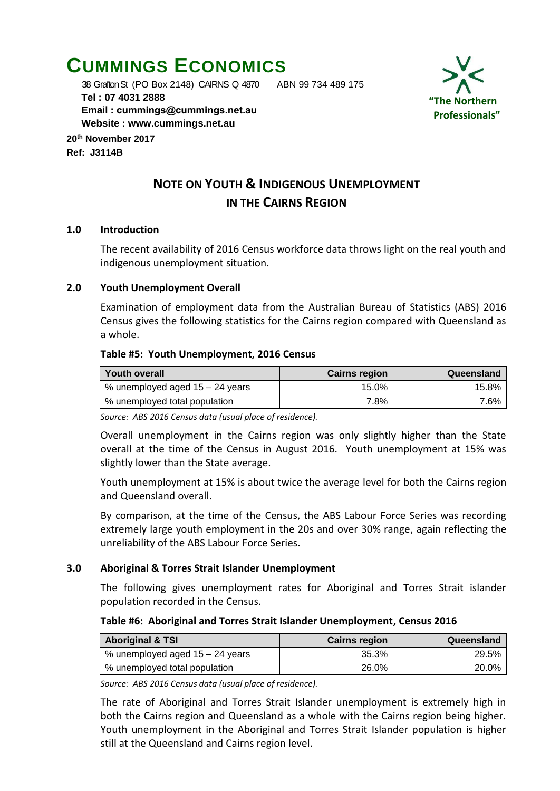# **CUMMINGS ECONOMICS**

 38 Grafton St (PO Box 2148) CAIRNS Q 4870 ABN 99 734 489 175  **Tel : 07 4031 2888 Email : [cummings@cummings.net.au](mailto:cummings@cummings.net.au) Website : www.cummings.net.au**

**20th November 2017 Ref: J3114B**



# **NOTE ON YOUTH & INDIGENOUS UNEMPLOYMENT IN THE CAIRNS REGION**

#### **1.0 Introduction**

The recent availability of 2016 Census workforce data throws light on the real youth and indigenous unemployment situation.

#### **2.0 Youth Unemployment Overall**

Examination of employment data from the Australian Bureau of Statistics (ABS) 2016 Census gives the following statistics for the Cairns region compared with Queensland as a whole.

#### **Table #5: Youth Unemployment, 2016 Census**

| <b>Youth overall</b>              | <b>Cairns region</b> | Queensland |
|-----------------------------------|----------------------|------------|
| % unemployed aged $15 - 24$ years | 15.0%                | 15.8%      |
| % unemployed total population     | 7.8%                 | 7.6%       |

*Source: ABS 2016 Census data (usual place of residence).*

Overall unemployment in the Cairns region was only slightly higher than the State overall at the time of the Census in August 2016. Youth unemployment at 15% was slightly lower than the State average.

Youth unemployment at 15% is about twice the average level for both the Cairns region and Queensland overall.

By comparison, at the time of the Census, the ABS Labour Force Series was recording extremely large youth employment in the 20s and over 30% range, again reflecting the unreliability of the ABS Labour Force Series.

### **3.0 Aboriginal & Torres Strait Islander Unemployment**

The following gives unemployment rates for Aboriginal and Torres Strait islander population recorded in the Census.

#### **Table #6: Aboriginal and Torres Strait Islander Unemployment, Census 2016**

| <b>Aboriginal &amp; TSI</b>     | <b>Cairns region</b> | Queensland |
|---------------------------------|----------------------|------------|
| % unemployed aged 15 – 24 years | 35.3%                | 29.5%      |
| % unemployed total population   | 26.0%                | 20.0%      |

*Source: ABS 2016 Census data (usual place of residence).*

The rate of Aboriginal and Torres Strait Islander unemployment is extremely high in both the Cairns region and Queensland as a whole with the Cairns region being higher. Youth unemployment in the Aboriginal and Torres Strait Islander population is higher still at the Queensland and Cairns region level.